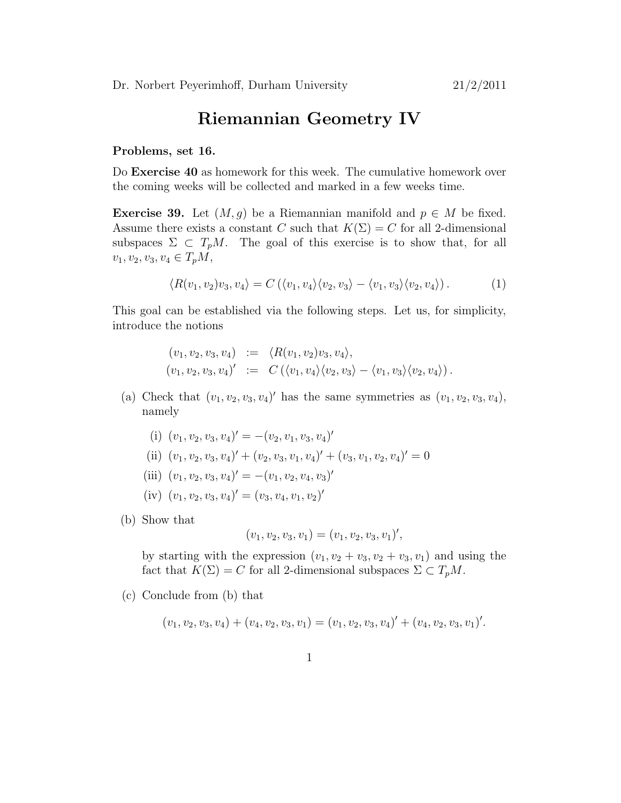## Riemannian Geometry IV

## Problems, set 16.

Do Exercise 40 as homework for this week. The cumulative homework over the coming weeks will be collected and marked in a few weeks time.

**Exercise 39.** Let  $(M, g)$  be a Riemannian manifold and  $p \in M$  be fixed. Assume there exists a constant C such that  $K(\Sigma) = C$  for all 2-dimensional subspaces  $\Sigma \subset T_pM$ . The goal of this exercise is to show that, for all  $v_1, v_2, v_3, v_4 \in T_pM$ ,

$$
\langle R(v_1, v_2)v_3, v_4 \rangle = C(\langle v_1, v_4 \rangle \langle v_2, v_3 \rangle - \langle v_1, v_3 \rangle \langle v_2, v_4 \rangle). \tag{1}
$$

This goal can be established via the following steps. Let us, for simplicity, introduce the notions

$$
(v_1, v_2, v_3, v_4) := \langle R(v_1, v_2)v_3, v_4 \rangle,
$$
  
\n $(v_1, v_2, v_3, v_4)' := C(\langle v_1, v_4 \rangle \langle v_2, v_3 \rangle - \langle v_1, v_3 \rangle \langle v_2, v_4 \rangle).$ 

- (a) Check that  $(v_1, v_2, v_3, v_4)'$  has the same symmetries as  $(v_1, v_2, v_3, v_4)$ , namely
	- (i)  $(v_1, v_2, v_3, v_4)' = -(v_2, v_1, v_3, v_4)'$
	- (ii)  $(v_1, v_2, v_3, v_4)' + (v_2, v_3, v_1, v_4)' + (v_3, v_1, v_2, v_4)' = 0$
	- (iii)  $(v_1, v_2, v_3, v_4)' = -(v_1, v_2, v_4, v_3)'$
	- $(iv)$   $(v_1, v_2, v_3, v_4)' = (v_3, v_4, v_1, v_2)'$
- (b) Show that

$$
(v_1, v_2, v_3, v_1) = (v_1, v_2, v_3, v_1)',
$$

by starting with the expression  $(v_1, v_2 + v_3, v_2 + v_3, v_1)$  and using the fact that  $K(\Sigma) = C$  for all 2-dimensional subspaces  $\Sigma \subset T_pM$ .

(c) Conclude from (b) that

$$
(v_1, v_2, v_3, v_4) + (v_4, v_2, v_3, v_1) = (v_1, v_2, v_3, v_4)' + (v_4, v_2, v_3, v_1)'.
$$